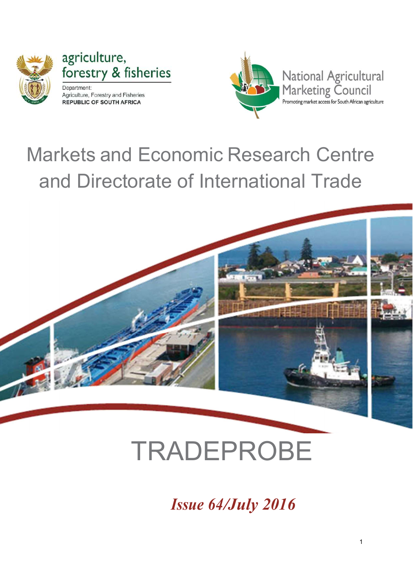

agriculture, forestry & fisheries Department: Agriculture, Forestry and Fisheries **REPUBLIC OF SOUTH AFRICA** 



# Markets and Economic Research Centre and Directorate of International Trade



# TRADEPROBE

Issue 64/July 2016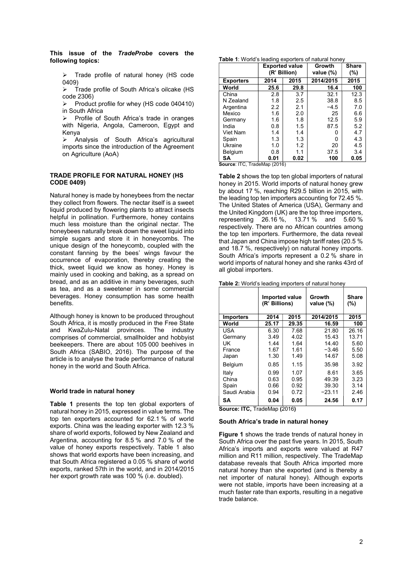This issue of the TradeProbe covers the following topics:

 $\triangleright$  Trade profile of natural honey (HS code 0409)

 $\triangleright$  Trade profile of South Africa's oilcake (HS code 2306)

 $\triangleright$  Product profile for whey (HS code 040410) in South Africa

 Profile of South Africa's trade in oranges with Nigeria, Angola, Cameroon, Egypt and Kenya

 Analysis of South Africa's agricultural imports since the introduction of the Agreement on Agriculture (AoA)

#### TRADE PROFILE FOR NATURAL HONEY (HS CODE 0409)

Natural honey is made by honeybees from the nectar they collect from flowers. The nectar itself is a sweet liquid produced by flowering plants to attract insects helpful in pollination. Furthermore, honey contains much less moisture than the original nectar. The honeybees naturally break down the sweet liquid into simple sugars and store it in honeycombs. The unique design of the honeycomb, coupled with the constant fanning by the bees' wings favour the occurrence of evaporation, thereby creating the thick, sweet liquid we know as honey. Honey is mainly used in cooking and baking, as a spread on bread, and as an additive in many beverages, such as tea, and as a sweetener in some commercial beverages. Honey consumption has some health benefits.

Although honey is known to be produced throughout South Africa, it is mostly produced in the Free State and KwaZulu-Natal provinces. The industry comprises of commercial, smallholder and hobbyist beekeepers. There are about 105 000 beehives in South Africa (SABIO, 2016). The purpose of the article is to analyse the trade performance of natural honey in the world and South Africa.

#### World trade in natural honey

Table 1 presents the top ten global exporters of natural honey in 2015, expressed in value terms. The top ten exporters accounted for 62.1 % of world exports. China was the leading exporter with 12.3 % share of world exports, followed by New Zealand and Argentina, accounting for 8.5 % and 7.0 % of the value of honey exports respectively. Table 1 also shows that world exports have been increasing, and that South Africa registered a 0.05 % share of world exports, ranked 57th in the world, and in 2014/2015 her export growth rate was 100 % (i.e. doubled).

#### Table 1: World's leading exporters of natural honey

|                  | <b>Exported value</b><br>(R' Billion) |      | Growth<br>value (%) | Share<br>(%) |
|------------------|---------------------------------------|------|---------------------|--------------|
| <b>Exporters</b> | 2014<br>2015                          |      | 2014/2015           | 2015         |
| World            | 25.6                                  | 29.8 | 16.4                | 100          |
| China            | 2.8                                   | 3.7  | 32.1                | 12.3         |
| N Zealand        | 1.8                                   | 2.5  | 38.8                | 8.5          |
| Argentina        | 2.2                                   | 2.1  | $-4.5$              | 7.0          |
| Mexico           | 1.6                                   | 2.0  | 25                  | 6.6          |
| Germany          | 1.6                                   | 1.8  | 12.5                | 5.9          |
| India            | 0.8                                   | 1.5  | 87.5                | 5.2          |
| Viet Nam         | 1.4                                   | 1.4  |                     | 4.7          |
| Spain            | 1.3                                   | 1.3  | O                   | 4.3          |
| Ukraine          | 1.0                                   | 1.2  | 20                  | 4.5          |
| Belgium          | 0.8                                   | 1.1  | 37.5                | 3.4          |
| SΑ               | 0.01                                  | 0.02 | 100                 | 0.05         |

Source: ITC, TradeMap (2016)

Table 2 shows the top ten global importers of natural honey in 2015. World imports of natural honey grew by about 17 %, reaching R29.5 billion in 2015, with the leading top ten importers accounting for 72.45 %. The United States of America (USA), Germany and the United Kingdom (UK) are the top three importers, representing 26.16 %, 13.71 % and 5.60 % respectively. There are no African countries among the top ten importers. Furthermore, the data reveal that Japan and China impose high tariff rates (20.5 % and 18.7 %, respectively) on natural honey imports. South Africa's imports represent a 0.2 % share in world imports of natural honey and she ranks 43rd of all global importers.

Table 2: World's leading importers of natural honey

|                  | <b>Imported value</b><br>(R' Billions) |       | Growth<br>value (%) | <b>Share</b><br>$(\% )$ |
|------------------|----------------------------------------|-------|---------------------|-------------------------|
| <b>Importers</b> | 2014                                   | 2015  | 2014/2015           | 2015                    |
| World            | 25.17                                  | 29.35 | 16.59               | 100                     |
| USA              | 6.30                                   | 7.68  | 21.80               | 26.16                   |
| Germany          | 3.49                                   | 4.02  | 15.43               | 13.71                   |
| UK               | 1.44                                   | 1.64  | 14.40               | 5.60                    |
| France           | 1.67                                   | 1.61  | $-3.46$             | 5.50                    |
| Japan            | 1.30                                   | 1.49  | 14.67               | 5.08                    |
| <b>Belgium</b>   | 0.85                                   | 1.15  | 35.98               | 3.92                    |
| Italy            | 0.99                                   | 1.07  | 8.61                | 3.65                    |
| China            | 0.63                                   | 0.95  | 49.39               | 3.23                    |
| Spain            | 0.66<br>0.92                           |       | 39.30               | 3.14                    |
| Saudi Arabia     | 0.94                                   | 0.72  | $-23.11$            | 2.46                    |
| SΑ               | 0.04                                   | 0.05  | 24.56               | 0.17                    |

Source: ITC, TradeMap (2016)

#### South Africa's trade in natural honey

**Figure 1** shows the trade trends of natural honey in South Africa over the past five years. In 2015, South Africa's imports and exports were valued at R47 million and R11 million, respectively. The TradeMap database reveals that South Africa imported more natural honey than she exported (and is thereby a net importer of natural honey). Although exports were not stable, imports have been increasing at a much faster rate than exports, resulting in a negative trade balance.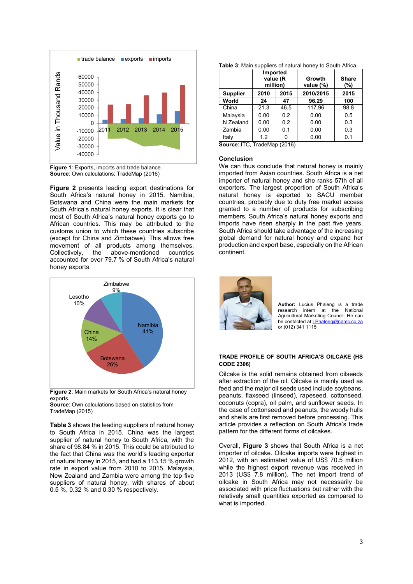

Figure 1: Exports, imports and trade balance Source: Own calculations; TradeMap (2016)

Figure 2 presents leading export destinations for South Africa's natural honey in 2015. Namibia, Botswana and China were the main markets for South Africa's natural honey exports. It is clear that most of South Africa's natural honey exports go to African countries. This may be attributed to the customs union to which these countries subscribe (except for China and Zimbabwe). This allows free movement of all products among themselves. Collectively, the above-mentioned countries accounted for over 79.7 % of South Africa's natural honey exports.



Figure 2: Main markets for South Africa's natural honey exports.

Source: Own calculations based on statistics from TradeMap (2015)

Table 3 shows the leading suppliers of natural honey to South Africa in 2015. China was the largest supplier of natural honey to South Africa, with the share of 98.84 % in 2015. This could be attributed to the fact that China was the world's leading exporter of natural honey in 2015, and had a 113.15 % growth rate in export value from 2010 to 2015. Malaysia, New Zealand and Zambia were among the top five suppliers of natural honey, with shares of about 0.5 %, 0.32 % and 0.30 % respectively.

|                 | Imported<br>value (R<br>million) |      | Growth<br>value (%) | <b>Share</b><br>(%) |  |
|-----------------|----------------------------------|------|---------------------|---------------------|--|
| <b>Supplier</b> | 2010<br>2015                     |      | 2010/2015           | 2015                |  |
| World           | 24                               | 47   | 96.29               | 100                 |  |
| China           | 21.3                             | 46.5 | 117.96              | 98.8                |  |
| Malaysia        | 0.00                             | 0.2  | 0.00                | 0.5                 |  |
| N Zealand       | 0.00                             | 0.2  | 0.00                | 0.3                 |  |
| Zambia          | 0.00                             | 0.1  | 0.00                | 0.3                 |  |
| Italy           | 1.2                              |      | 0.00                | 0.1                 |  |

Source: ITC, TradeMap (2016)

#### Conclusion

We can thus conclude that natural honey is mainly imported from Asian countries. South Africa is a net importer of natural honey and she ranks 57th of all exporters. The largest proportion of South Africa's natural honey is exported to SACU member countries, probably due to duty free market access granted to a number of products for subscribing members. South Africa's natural honey exports and imports have risen sharply in the past five years. South Africa should take advantage of the increasing global demand for natural honey and expand her production and export base, especially on the African continent.



Author: Lucius Phaleng is a trade research intern at the National Agricultural Marketing Council. He can be contacted at LPhaleng@namc.co.za or (012) 341 1115

#### TRADE PROFILE OF SOUTH AFRICA'S OILCAKE (HS CODE 2306) 26%

Oilcake is the solid remains obtained from oilseeds after extraction of the oil. Oilcake is mainly used as feed and the major oil seeds used include soybeans, peanuts, flaxseed (linseed), rapeseed, cottonseed, coconuts (copra), oil palm, and sunflower seeds. In the case of cottonseed and peanuts, the woody hulls and shells are first removed before processing. This article provides a reflection on South Africa's trade pattern for the different forms of oilcakes.

Overall. Figure 3 shows that South Africa is a net importer of oilcake. Oilcake imports were highest in 2012, with an estimated value of US\$ 70.5 million while the highest export revenue was received in 2013 (US\$ 7.8 million). The net import trend of oilcake in South Africa may not necessarily be associated with price fluctuations but rather with the relatively small quantities exported as compared to what is imported.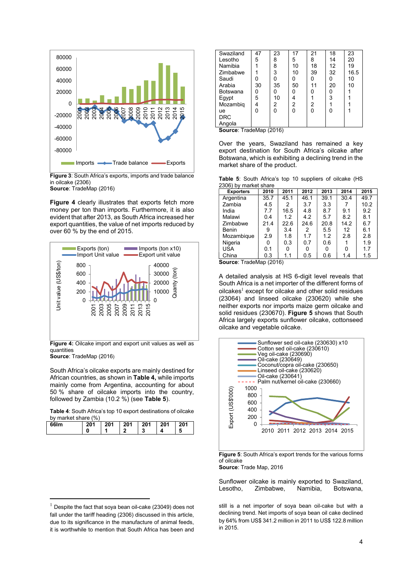

Figure 3: South Africa's exports, imports and trade balance in oilcake (2306) Source: TradeMap (2016)

Figure 4 clearly illustrates that exports fetch more money per ton than imports. Furthermore, it is also evident that after 2013, as South Africa increased her export quantities, the value of net imports reduced by over 60 % by the end of 2015.



quantities Source: TradeMap (2016)

South Africa's oilcake exports are mainly destined for

-

African countries, as shown in Table 4, while imports mainly come from Argentina, accounting for about 50 % share of oilcake imports into the country, followed by Zambia  $(10.2 \%)$  (see Table 5).

Table 4: South Africa's top 10 export destinations of oilcake by market share (%)

| 66Im | 201 | 201 | 201 | 201 | 201 | 201 |
|------|-----|-----|-----|-----|-----|-----|
|      | u   |     |     | v   |     | э   |

| Swaziland       | 47 | 23 | 17             | 21 | 18 | 23   |
|-----------------|----|----|----------------|----|----|------|
| Lesotho         | 5  | 8  | 5              | 8  | 14 | 20   |
| Namibia         |    | 8  | 10             | 18 | 12 | 19   |
| Zimbabwe        |    | 3  | 10             | 39 | 32 | 16.5 |
| Saudi           |    |    | ი              | ი  |    | 10   |
| Arabia          | 30 | 35 | 50             | 11 | 20 | 10   |
| <b>Botswana</b> |    |    | ი              | ი  |    |      |
| Egypt           | 5  | 10 | 4              |    | 3  |      |
| Mozambig        |    | 2  | $\overline{2}$ | 2  |    |      |
| ue              | n  | 0  | ი              | ი  |    |      |
| <b>DRC</b>      |    |    |                |    |    |      |
| Angola          |    |    |                |    |    |      |

Source: TradeMap (2016)

Over the years, Swaziland has remained a key export destination for South Africa's oilcake after Botswana, which is exhibiting a declining trend in the market share of the product.

Table 5: South Africa's top 10 suppliers of oilcake (HS 2306) by market share

| <b>Exporters</b> | 2010 | 2011 | 2012 | 2013 | 2014 | 2015 |
|------------------|------|------|------|------|------|------|
| Argentina        | 35.7 | 45.1 | 46.1 | 39.1 | 30.4 | 49.7 |
| Zambia           | 4.5  | 2    | 3.7  | 3.3  |      | 10.2 |
| India            | 7.7  | 16.5 | 4.8  | 8.7  | 9.1  | 9.2  |
| Malawi           | 0.4  | 1.2  | 4.2  | 5.7  | 8.2  | 8.1  |
| Zimbabwe         | 21.4 | 22.6 | 24.6 | 20.8 | 14.2 | 6.7  |
| <b>Benin</b>     | 9    | 3.4  | 2    | 5.5  | 12   | 6.1  |
| Mozambique       | 2.9  | 1.8  | 17   | 1.2  | 2.8  | 2.8  |
| Nigeria          | 0    | 0.3  | 0.7  | 0.6  |      | 1.9  |
| <b>USA</b>       | 0.1  | 0    | 0    |      | U    | 1.7  |
| China            | 0.3  | 1.1  | 0.5  | 0.6  | 1.4  | 1.5  |

Source: TradeMap (2016)

<sup>30000</sup> 5 A detailed analysis at HS 6-digit level reveals that 20000  $\geq$  20000  $\geq$  South Africa is a net importer of the different forms of 10000  $\frac{3}{2}$  | oilcakes<sup>1</sup> except for oilcake and other solid residues  $\overline{0}$   $\overline{0}$  (23064) and linseed oilcake (230620) while she neither exports nor imports maize germ oilcake and solid residues (230670). Figure 5 shows that South 2001 2003 2005 2007 2009 2011 2013 2015 Africa largely exports sunflower oilcake, cottonseed oilcake and vegetable oilcake.



Figure 5: South Africa's export trends for the various forms of oilcake Source: Trade Map, 2016

Sunflower oilcake is mainly exported to Swaziland, Lesotho, Zimbabwe, Namibia, Botswana,

still is a net importer of soya bean oil-cake but with a declining trend. Net imports of soya bean oil cake declined by 64% from US\$ 341.2 million in 2011 to US\$ 122.8 million in 2015.

 $1$  Despite the fact that soya bean oil-cake (23049) does not fall under the tariff heading (2306) discussed in this article, due to its significance in the manufacture of animal feeds. it is worthwhile to mention that South Africa has been and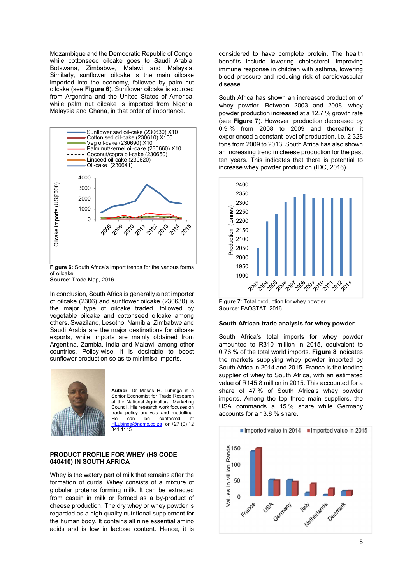Mozambique and the Democratic Republic of Congo, while cottonseed oilcake goes to Saudi Arabia, Botswana, Zimbabwe, Malawi and Malaysia. Similarly, sunflower oilcake is the main oilcake imported into the economy, followed by palm nut oilcake (see Figure 6). Sunflower oilcake is sourced from Argentina and the United States of America, while palm nut oilcake is imported from Nigeria, Malaysia and Ghana, in that order of importance.



Figure 6: South Africa's import trends for the various forms of oilcake

Source: Trade Map, 2016

In conclusion, South Africa is generally a net importer of oilcake (2306) and sunflower oilcake (230630) is the major type of oilcake traded, followed by vegetable oilcake and cottonseed oilcake among others. Swaziland, Lesotho, Namibia, Zimbabwe and Saudi Arabia are the major destinations for oilcake exports, while imports are mainly obtained from Argentina, Zambia, India and Malawi, among other countries. Policy-wise, it is desirable to boost sunflower production so as to minimise imports.



Author: Dr Moses H. Lubinga is a Senior Economist for Trade Research at the National Agricultural Marketing Council. His research work focuses on trade policy analysis and modelling.<br>He can be contacted at He can be contacted at<br>Hubings@name.co.73 or  $\pm$ 27 (0) 12 o.za or +27 (0) 12 341 1115

#### PRODUCT PROFILE FOR WHEY (HS CODE 040410) IN SOUTH AFRICA

Whey is the watery part of milk that remains after the formation of curds. Whey consists of a mixture of globular proteins forming milk. It can be extracted from casein in milk or formed as a by-product of cheese production. The dry whey or whey powder is regarded as a high quality nutritional supplement for the human body. It contains all nine essential amino acids and is low in lactose content. Hence, it is considered to have complete protein. The health benefits include lowering cholesterol, improving immune response in children with asthma, lowering blood pressure and reducing risk of cardiovascular disease.

South Africa has shown an increased production of whey powder. Between 2003 and 2008, whey powder production increased at a 12.7 % growth rate (see Figure 7). However, production decreased by 0.9 % from 2008 to 2009 and thereafter it experienced a constant level of production, i.e. 2 328 tons from 2009 to 2013. South Africa has also shown an increasing trend in cheese production for the past ten years. This indicates that there is potential to increase whey powder production (IDC, 2016).



Figure 7: Total production for whey powder Source: FAOSTAT, 2016

#### South African trade analysis for whey powder

South Africa's total imports for whey powder amounted to R310 million in 2015, equivalent to 0.76 % of the total world imports. Figure 8 indicates the markets supplying whey powder imported by South Africa in 2014 and 2015. France is the leading supplier of whey to South Africa, with an estimated value of R145.8 million in 2015. This accounted for a share of 47 % of South Africa's whey powder imports. Among the top three main suppliers, the USA commands a 15 % share while Germany accounts for a 13.8 % share.

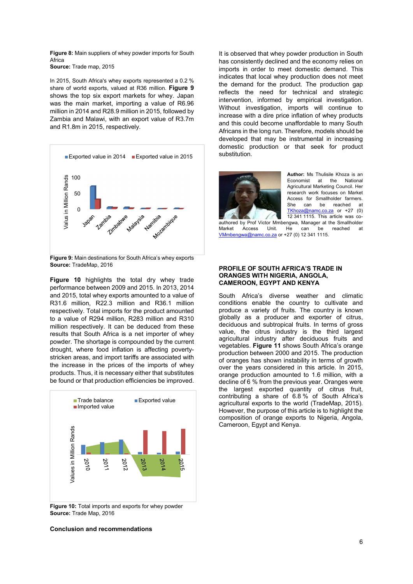Figure 8: Main suppliers of whey powder imports for South Africa

Source: Trade map, 2015

In 2015, South Africa's whey exports represented a 0.2 % share of world exports, valued at R36 million. Figure 9 shows the top six export markets for whey. Japan was the main market, importing a value of R6.96 million in 2014 and R28.9 million in 2015, followed by Zambia and Malawi, with an export value of R3.7m and R1.8m in 2015, respectively.



Figure 9: Main destinations for South Africa's whey exports Source: TradeMap, 2016

Figure 10 highlights the total dry whey trade performance between 2009 and 2015. In 2013, 2014 and 2015, total whey exports amounted to a value of R31.6 million, R22.3 million and R36.1 million respectively. Total imports for the product amounted to a value of R294 million, R283 million and R310 million respectively. It can be deduced from these results that South Africa is a net importer of whey powder. The shortage is compounded by the current drought, where food inflation is affecting povertystricken areas, and import tariffs are associated with the increase in the prices of the imports of whey products. Thus, it is necessary either that substitutes be found or that production efficiencies be improved.



Figure 10: Total imports and exports for whey powder Source: Trade Map, 2016

Conclusion and recommendations

It is observed that whey powder production in South has consistently declined and the economy relies on imports in order to meet domestic demand. This indicates that local whey production does not meet the demand for the product. The production gap reflects the need for technical and strategic intervention, informed by empirical investigation. Without investigation, imports will continue to increase with a dire price inflation of whey products and this could become unaffordable to many South Africans in the long run. Therefore, models should be developed that may be instrumental in increasing domestic production or that seek for product substitution.



Author: Ms Thulisile Khoza is an Economist at the National Agricultural Marketing Council. Her research work focuses on Market Access for Smallholder farmers. She can be reached at TKhoza@namc.co.za or +27 (0) 12 341 1115. This article was co-

authored by Prof Victor Mmbengwa, Manager at the Smallholder Market Access Unit. He can be reached at VMmbengwa@namc.co.za or +27 (0) 12 341 1115.

#### PROFILE OF SOUTH AFRICA'S TRADE IN ORANGES WITH NIGERIA, ANGOLA, CAMEROON, EGYPT AND KENYA

South Africa's diverse weather and climatic conditions enable the country to cultivate and produce a variety of fruits. The country is known globally as a producer and exporter of citrus, deciduous and subtropical fruits. In terms of gross value, the citrus industry is the third largest agricultural industry after deciduous fruits and vegetables. Figure 11 shows South Africa's orange production between 2000 and 2015. The production of oranges has shown instability in terms of growth over the years considered in this article. In 2015, orange production amounted to 1.6 million, with a decline of 6 % from the previous year. Oranges were the largest exported quantity of citrus fruit, contributing a share of 6.8 % of South Africa's Trade balance Exported value agricultural exports to the world (TradeMap, 2015). However, the purpose of this article is to highlight the composition of orange exports to Nigeria, Angola,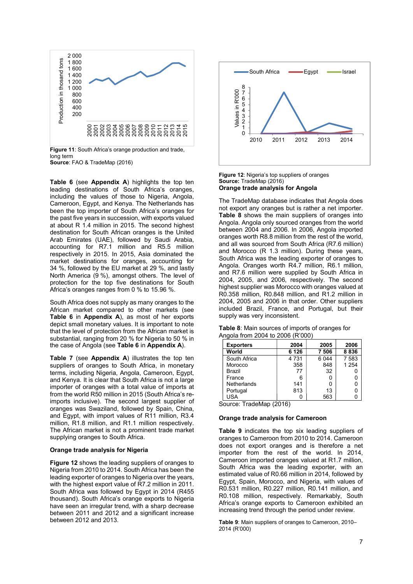

Source: FAO & TradeMap (2016)

Table 6 (see Appendix A) highlights the top ten leading destinations of South Africa's oranges, including the values of those to Nigeria, Angola, Cameroon, Egypt, and Kenya. The Netherlands has been the top importer of South Africa's oranges for the past five years in succession, with exports valued at about R 1.4 million in 2015. The second highest destination for South African oranges is the United Arab Emirates (UAE), followed by Saudi Arabia, accounting for R7.1 million and R5.5 million respectively in 2015. In 2015, Asia dominated the market destinations for oranges, accounting for 34 %, followed by the EU market at 29 %, and lastly North America (9 %), amongst others. The level of protection for the top five destinations for South Africa's oranges ranges from 0 % to 15.96 %.

South Africa does not supply as many oranges to the African market compared to other markets (see Table 6 in Appendix A), as most of her exports depict small monetary values. It is important to note that the level of protection from the African market is substantial, ranging from 20 % for Nigeria to 50 % in the case of Angola (see Table 6 in Appendix A).

Table 7 (see Appendix A) illustrates the top ten suppliers of oranges to South Africa, in monetary terms, including Nigeria, Angola, Cameroon, Egypt, and Kenya. It is clear that South Africa is not a large importer of oranges with a total value of imports at from the world R50 million in 2015 (South Africa's reimports inclusive). The second largest supplier of oranges was Swaziland, followed by Spain, China, and Egypt, with import values of R11 million, R3.4 million, R1.8 million, and R1.1 million respectively. The African market is not a prominent trade market supplying oranges to South Africa.

#### Orange trade analysis for Nigeria

Figure 12 shows the leading suppliers of oranges to Nigeria from 2010 to 2014. South Africa has been the leading exporter of oranges to Nigeria over the years, with the highest export value of R7.2 million in 2011. South Africa was followed by Egypt in 2014 (R455 thousand). South Africa's orange exports to Nigeria have seen an irregular trend, with a sharp decrease between 2011 and 2012 and a significant increase between 2012 and 2013.



Figure 12: Nigeria's top suppliers of oranges Source: TradeMap (2016) Orange trade analysis for Angola

The TradeMap database indicates that Angola does not export any oranges but is rather a net importer. Table 8 shows the main suppliers of oranges into Angola. Angola only sourced oranges from the world between 2004 and 2006. In 2006, Angola imported oranges worth R8.8 million from the rest of the world, and all was sourced from South Africa (R7.6 million) and Morocco (R 1.3 million). During these years, South Africa was the leading exporter of oranges to Angola. Oranges worth R4.7 million, R6.1 million, and R7.6 million were supplied by South Africa in 2004, 2005, and 2006, respectively. The second highest supplier was Morocco with oranges valued at R0.358 million, R0.848 million, and R1.2 million in 2004, 2005 and 2006 in that order. Other suppliers included Brazil, France, and Portugal, but their supply was very inconsistent.

| <b>Table 8:</b> Main sources of imports of oranges for |
|--------------------------------------------------------|
| Angola from 2004 to 2006 (R'000)                       |

| <b>Exporters</b>   | 2004    | 2005    | 2006    |
|--------------------|---------|---------|---------|
| World              | 6 1 2 6 | 7 506   | 8836    |
| South Africa       | 4731    | 6 0 4 4 | 7583    |
| Morocco            | 358     | 848     | 1 2 5 4 |
| Brazil             | 77      | 32      |         |
| France             | 6       |         |         |
| <b>Netherlands</b> | 141     |         |         |
| Portugal           | 813     | 13      |         |
| USA                |         | 563     |         |

Source: TradeMap (2016)

### Orange trade analysis for Cameroon

Table 9 indicates the top six leading suppliers of oranges to Cameroon from 2010 to 2014. Cameroon does not export oranges and is therefore a net importer from the rest of the world. In 2014, Cameroon imported oranges valued at R1.7 million, South Africa was the leading exporter, with an estimated value of R0.66 million in 2014, followed by Egypt, Spain, Morocco, and Nigeria, with values of R0.531 million, R0.227 million, R0.141 million, and R0.108 million, respectively. Remarkably, South Africa's orange exports to Cameroon exhibited an increasing trend through the period under review.

Table 9: Main suppliers of oranges to Cameroon, 2010– 2014 (R'000)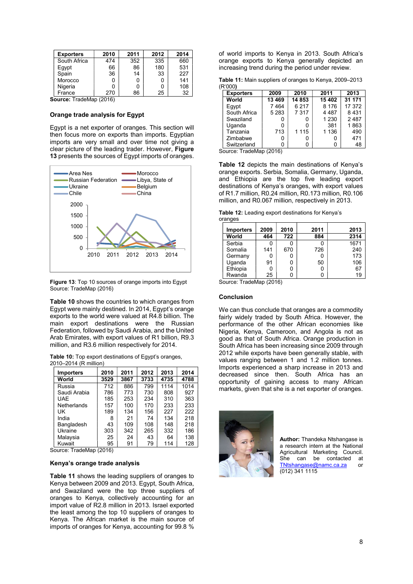| <b>Exporters</b> | 2010 | 2011 | 2012 | 2014 |
|------------------|------|------|------|------|
| South Africa     | 474  | 352  | 335  | 660  |
| Egypt            | 66   | 86   | 180  | 531  |
| Spain            | 36   | 14   | 33   | 227  |
| Morocco          | 0    |      |      | 141  |
| Nigeria          | ი    |      |      | 108  |
| France           | 270  | 86   | 25   | 32   |

Source: TradeMap (2016)

#### Orange trade analysis for Egypt

Egypt is a net exporter of oranges. This section will then focus more on exports than imports. Egyptian imports are very small and over time not giving a clear picture of the leading trader. However, Figure 13 presents the sources of Egypt imports of oranges.



Figure 13: Top 10 sources of orange imports into Egypt Source: TradeMap (2016)

Table 10 shows the countries to which oranges from Egypt were mainly destined. In 2014, Egypt's orange exports to the world were valued at R4.8 billion. The main export destinations were the Russian Federation, followed by Saudi Arabia, and the United Arab Emirates, with export values of R1 billion, R9.3 million, and R3.6 million respectively for 2014.

|                       |  | <b>Table 10:</b> Top export destinations of Egypt's oranges, |  |
|-----------------------|--|--------------------------------------------------------------|--|
| 2010–2014 (R million) |  |                                                              |  |

| <b>Importers</b>   | 2010 | 2011 | 2012 | 2013 | 2014 |
|--------------------|------|------|------|------|------|
| World              | 3529 | 3867 | 3733 | 4735 | 4788 |
| Russia             | 712  | 886  | 799  | 1114 | 1014 |
| Saudi Arabia       | 786  | 773  | 730  | 808  | 927  |
| <b>UAE</b>         | 185  | 253  | 234  | 310  | 363  |
| <b>Netherlands</b> | 157  | 100  | 170  | 233  | 233  |
| UΚ                 | 189  | 134  | 156  | 227  | 222  |
| India              | 8    | 21   | 74   | 134  | 218  |
| Bangladesh         | 43   | 109  | 108  | 148  | 218  |
| Ukraine            | 303  | 342  | 265  | 332  | 186  |
| Malaysia           | 25   | 24   | 43   | 64   | 138  |
| Kuwait             | 95   | 91   | 79   | 114  | 128  |

Source: TradeMap (2016)

#### Kenya's orange trade analysis

Table 11 shows the leading suppliers of oranges to Kenya between 2009 and 2013. Egypt, South Africa, and Swaziland were the top three suppliers of oranges to Kenya, collectively accounting for an import value of R2.8 million in 2013. Israel exported the least among the top 10 suppliers of oranges to Kenya. The African market is the main source of imports of oranges for Kenya, accounting for 99.8 %

of world imports to Kenya in 2013. South Africa's orange exports to Kenya generally depicted an increasing trend during the period under review.

Table 11: Main suppliers of oranges to Kenya, 2009–2013 (R'000)

| <b>Exporters</b> | 2009    | 2010    | 2011    | 2013    |
|------------------|---------|---------|---------|---------|
| World            | 13 4 69 | 14 853  | 15 402  | 31 171  |
| Eqvpt            | 7464    | 6 217   | 8 1 7 6 | 17 372  |
| South Africa     | 5 2 8 3 | 7 3 1 7 | 4 4 8 7 | 8 4 3 1 |
| Swaziland        |         |         | 1 2 3 0 | 2487    |
| Uganda           | ŋ       |         | 381     | 1863    |
| Tanzania         | 713     | 1 1 1 5 | 1 1 3 6 | 490     |
| Zimbabwe         | 0       |         |         | 471     |
| Switzerland      |         |         |         | 48      |

Source: TradeMap (2016)

Table 12 depicts the main destinations of Kenya's Area Nes **Area Morocco de Area Area Area Area Area** Morocco de Area Orange exports. Serbia, Somalia, Germany, Uganda, and Ethiopia are the top five leading export destinations of Kenya's oranges, with export values Ukraine Belgium of R1.7 million, R0.24 million, R0.173 million, R0.106 million, and R0.067 million, respectively in 2013.

Table 12: Leading export destinations for Kenya's oranges

| <b>Importers</b> | 2009 | 2010 | 2011 | 2013 |
|------------------|------|------|------|------|
| World            | 464  | 722  | 884  | 2314 |
| Serbia           |      | Ω    |      | 1671 |
| Somalia          | 141  | 670  | 726  | 240  |
| Germany          |      | 0    |      | 173  |
| Uganda           | 91   | 0    | 50   | 106  |
| Ethiopia         |      | 0    | 0    | 67   |
| Rwanda           | 25   | ი    |      | 19   |

Source: TradeMap (2016)

#### Conclusion

We can thus conclude that oranges are a commodity fairly widely traded by South Africa. However, the performance of the other African economies like Nigeria, Kenya, Cameroon, and Angola is not as good as that of South Africa. Orange production in South Africa has been increasing since 2009 through 2012 while exports have been generally stable, with values ranging between 1 and 1.2 million tonnes. Imports experienced a sharp increase in 2013 and decreased since then. South Africa has an opportunity of gaining access to many African markets, given that she is a net exporter of oranges.



Author: Thandeka Ntshangase is a research intern at the National Agricultural Marketing Council. She can be contacted at TNtshangase@namc.ca.za or (012) 341 1115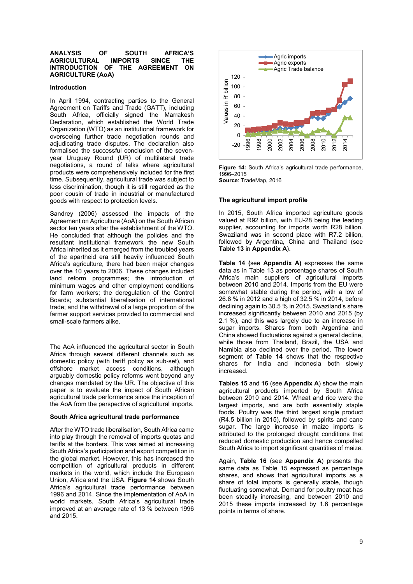#### ANALYSIS OF SOUTH AFRICA'S AGRICULTURAL IMPORTS SINCE THE INTRODUCTION OF THE AGREEMENT ON INTRODUCTION OF THE AGREEMENT ON AGRICULTURE (AoA)

#### Introduction

In April 1994, contracting parties to the General Agreement on Tariffs and Trade (GATT), including South Africa, officially signed the Marrakesh Declaration, which established the World Trade Organization (WTO) as an institutional framework for overseeing further trade negotiation rounds and adjudicating trade disputes. The declaration also formalised the successful conclusion of the sevenyear Uruguay Round (UR) of multilateral trade negotiations, a round of talks where agricultural products were comprehensively included for the first time. Subsequently, agricultural trade was subject to less discrimination, though it is still regarded as the poor cousin of trade in industrial or manufactured goods with respect to protection levels.

Sandrey (2006) assessed the impacts of the Agreement on Agriculture (AoA) on the South African sector ten years after the establishment of the WTO. He concluded that although the policies and the resultant institutional framework the new South Africa inherited as it emerged from the troubled years of the apartheid era still heavily influenced South Africa's agriculture, there had been major changes over the 10 years to 2006. These changes included land reform programmes; the introduction of minimum wages and other employment conditions for farm workers; the deregulation of the Control Boards; substantial liberalisation of international trade; and the withdrawal of a large proportion of the farmer support services provided to commercial and small-scale farmers alike.

The AoA influenced the agricultural sector in South Africa through several different channels such as domestic policy (with tariff policy as sub-set), and offshore market access conditions, although arguably domestic policy reforms went beyond any changes mandated by the UR. The objective of this paper is to evaluate the impact of South African agricultural trade performance since the inception of the AoA from the perspective of agricultural imports.

#### South Africa agricultural trade performance

After the WTO trade liberalisation, South Africa came into play through the removal of imports quotas and tariffs at the borders. This was aimed at increasing South Africa's participation and export competition in the global market. However, this has increased the competition of agricultural products in different markets in the world, which include the European Union, Africa and the USA. Figure 14 shows South Africa's agricultural trade performance between 1996 and 2014. Since the implementation of AoA in world markets, South Africa's agricultural trade improved at an average rate of 13 % between 1996 and 2015.



Figure 14: South Africa's agricultural trade performance. 1996–2015 Source: TradeMap, 2016

#### The agricultural import profile

In 2015, South Africa imported agriculture goods valued at R92 billion, with EU-28 being the leading supplier, accounting for imports worth R28 billion. Swaziland was in second place with R7.2 billion, followed by Argentina, China and Thailand (see Table 13 in Appendix A).

Table 14 (see Appendix A) expresses the same data as in Table 13 as percentage shares of South Africa's main suppliers of agricultural imports between 2010 and 2014. Imports from the EU were somewhat stable during the period, with a low of 26.8 % in 2012 and a high of 32.5 % in 2014, before declining again to 30.5 % in 2015. Swaziland's share increased significantly between 2010 and 2015 (by 2.1 %), and this was largely due to an increase in sugar imports. Shares from both Argentina and China showed fluctuations against a general decline, while those from Thailand, Brazil, the USA and Namibia also declined over the period. The lower segment of Table 14 shows that the respective shares for India and Indonesia both slowly increased.

Tables 15 and 16 (see Appendix A) show the main agricultural products imported by South Africa between 2010 and 2014. Wheat and rice were the largest imports, and are both essentially staple foods. Poultry was the third largest single product (R4.5 billion in 2015), followed by spirits and cane sugar. The large increase in maize imports is attributed to the prolonged drought conditions that reduced domestic production and hence compelled South Africa to import significant quantities of maize.

Again, Table 16 (see Appendix A) presents the same data as Table 15 expressed as percentage shares, and shows that agricultural imports as a share of total imports is generally stable, though fluctuating somewhat. Demand for poultry meat has been steadily increasing, and between 2010 and 2015 these imports increased by 1.6 percentage points in terms of share.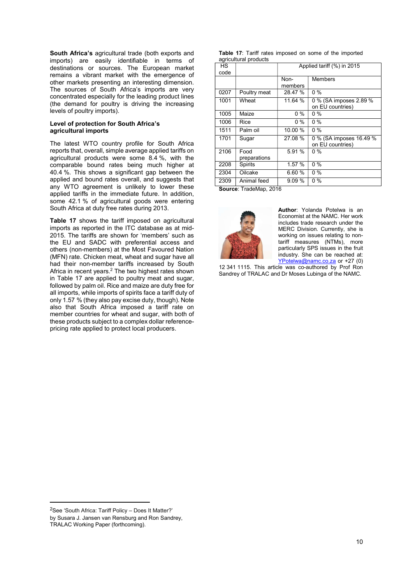South Africa's agricultural trade (both exports and imports) are easily identifiable in terms of destinations or sources. The European market remains a vibrant market with the emergence of other markets presenting an interesting dimension. The sources of South Africa's imports are very concentrated especially for the leading product lines (the demand for poultry is driving the increasing levels of poultry imports).

#### Level of protection for South Africa's agricultural imports

The latest WTO country profile for South Africa reports that, overall, simple average applied tariffs on agricultural products were some 8.4 %, with the comparable bound rates being much higher at 40.4 %. This shows a significant gap between the applied and bound rates overall, and suggests that any WTO agreement is unlikely to lower these applied tariffs in the immediate future. In addition, some 42.1 % of agricultural goods were entering South Africa at duty free rates during 2013.

Table 17 shows the tariff imposed on agricultural imports as reported in the ITC database as at mid-2015. The tariffs are shown for 'members' such as the EU and SADC with preferential access and others (non-members) at the Most Favoured Nation (MFN) rate. Chicken meat, wheat and sugar have all had their non-member tariffs increased by South Africa in recent years.<sup>2</sup> The two highest rates shown in Table 17 are applied to poultry meat and sugar, followed by palm oil. Rice and maize are duty free for all imports, while imports of spirits face a tariff duty of only 1.57 % (they also pay excise duty, though). Note also that South Africa imposed a tariff rate on member countries for wheat and sugar, with both of these products subject to a complex dollar referencepricing rate applied to protect local producers.

| <b>Table 17:</b> Tariff rates imposed on some of the imported |  |  |  |  |
|---------------------------------------------------------------|--|--|--|--|
| agricultural products                                         |  |  |  |  |

| ∽ອ∙∙                     |              |                            |                         |  |  |  |  |  |  |
|--------------------------|--------------|----------------------------|-------------------------|--|--|--|--|--|--|
| HS                       |              | Applied tariff (%) in 2015 |                         |  |  |  |  |  |  |
| code                     |              |                            |                         |  |  |  |  |  |  |
|                          |              | Non-                       | <b>Members</b>          |  |  |  |  |  |  |
|                          |              | members                    |                         |  |  |  |  |  |  |
| 0207                     | Poultry meat | 28.47 %                    | $0\%$                   |  |  |  |  |  |  |
| 1001                     | Wheat        | 11.64 %                    | 0 % (SA imposes 2.89 %  |  |  |  |  |  |  |
|                          |              |                            | on EU countries)        |  |  |  |  |  |  |
| 1005                     | Maize        | 0 %                        | 0 %                     |  |  |  |  |  |  |
| 1006                     | Rice         | 0 %                        | $0\%$                   |  |  |  |  |  |  |
| 1511                     | Palm oil     | 10.00 %                    | $0\%$                   |  |  |  |  |  |  |
| 1701                     | Sugar        | 27.08 %                    | 0 % (SA imposes 16.49 % |  |  |  |  |  |  |
|                          |              |                            | on EU countries)        |  |  |  |  |  |  |
| 2106                     | Food         | 5.91 %                     | $0\%$                   |  |  |  |  |  |  |
|                          | preparations |                            |                         |  |  |  |  |  |  |
| 2208                     | Spirits      | 1.57%                      | $0\%$                   |  |  |  |  |  |  |
| 2304                     | Oilcake      | 6.60%                      | $0\%$                   |  |  |  |  |  |  |
| 2309                     | Animal feed  | 9.09%                      | $0\%$                   |  |  |  |  |  |  |
| $\overline{\phantom{a}}$ |              |                            |                         |  |  |  |  |  |  |

Source: TradeMap, 2016



Author: Yolanda Potelwa is an Economist at the NAMC. Her work includes trade research under the MERC Division. Currently, she is working on issues relating to nontariff measures (NTMs), more particularly SPS issues in the fruit industry. She can be reached at: YPotelwa@namc.co.za or +27 (0)

12 341 1115. This article was co-authored by Prof Ron Sandrey of TRALAC and Dr Moses Lubinga of the NAMC.

-

<sup>2</sup>See 'South Africa: Tariff Policy – Does It Matter?'

by Susara J. Jansen van Rensburg and Ron Sandrey,

TRALAC Working Paper (forthcoming).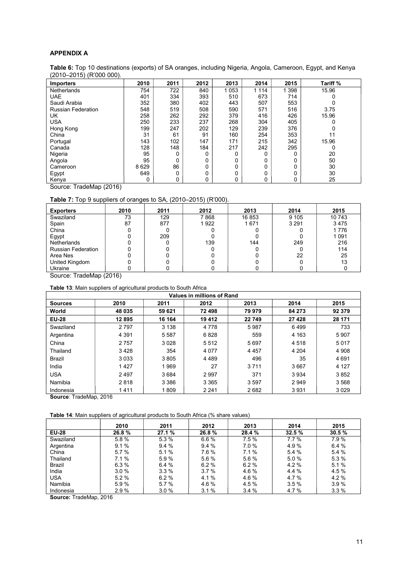## APPENDIX A

Table 6: Top 10 destinations (exports) of SA oranges, including Nigeria, Angola, Cameroon, Egypt, and Kenya (2010–2015) (R'000 000).

| <b>Importers</b>          | 2010 | 2011 | 2012 | 2013    | 2014    | 2015    | Tariff % |
|---------------------------|------|------|------|---------|---------|---------|----------|
| Netherlands               | 754  | 722  | 840  | 1 0 5 3 | 1 1 1 4 | 1 3 9 8 | 15.96    |
| <b>UAE</b>                | 401  | 334  | 393  | 510     | 673     | 714     |          |
| Saudi Arabia              | 352  | 380  | 402  | 443     | 507     | 553     |          |
| <b>Russian Federation</b> | 548  | 519  | 508  | 590     | 571     | 516     | 3.75     |
| UK                        | 258  | 262  | 292  | 379     | 416     | 426     | 15.96    |
| <b>USA</b>                | 250  | 233  | 237  | 268     | 304     | 405     |          |
| Hong Kong                 | 199  | 247  | 202  | 129     | 239     | 376     |          |
| China                     | 31   | 61   | 91   | 160     | 254     | 353     | 11       |
| Portugal                  | 143  | 102  | 147  | 171     | 215     | 342     | 15.96    |
| Canada                    | 128  | 148  | 184  | 217     | 242     | 295     | 0        |
| Nigeria                   | 95   | 0    | 0    | 0       | 0       | 0       | 20       |
| Angola                    | 95   | 0    | 0    | 0       | 0       | 0       | 50       |
| Cameroon                  | 8629 | 86   | 0    | 0       | 0       | 0       | 30       |
| Egypt                     | 649  | 0    | 0    | 0       | 0       | 0       | 30       |
| Kenya                     | 0    | 0    | 0    | 0       | 0       | 0       | 25       |

Source: TradeMap (2016)

# Table 7: Top 9 suppliers of oranges to SA, (2010–2015) (R'000).

| <b>Exporters</b>          | 2010 | 2011 | 2012 | 2013   | 2014    | 2015    |
|---------------------------|------|------|------|--------|---------|---------|
| Swaziland                 | 73   | 129  | 7868 | 16 853 | 9 1 0 5 | 10743   |
| Spain                     | 87   | 877  | 1922 | 1671   | 3 2 9 1 | 3475    |
| China                     |      |      |      |        |         | 1 7 7 6 |
| Egypt                     |      | 209  |      |        |         | 1 0 9 1 |
| <b>Netherlands</b>        |      |      | 139  | 144    | 249     | 216     |
| <b>Russian Federation</b> |      |      |      |        |         | 114     |
| Area Nes                  |      |      |      |        | 22      | 25      |
| United Kingdom            |      |      |      |        |         | 13      |
| Ukraine                   |      |      |      |        |         |         |

Source: TradeMap (2016)

Table 13: Main suppliers of agricultural products to South Africa

| Values in millions of Rand |         |         |         |         |         |         |  |  |  |  |
|----------------------------|---------|---------|---------|---------|---------|---------|--|--|--|--|
| <b>Sources</b>             | 2010    | 2011    | 2012    | 2013    | 2014    | 2015    |  |  |  |  |
| World                      | 48 035  | 59 621  | 72 498  | 79 979  | 84 273  | 92 379  |  |  |  |  |
| <b>EU-28</b>               | 12895   | 16 164  | 19 412  | 22 749  | 27 4 28 | 28 171  |  |  |  |  |
| Swaziland                  | 2 7 9 7 | 3 1 3 8 | 4 7 7 8 | 5987    | 6499    | 733     |  |  |  |  |
| Argentina                  | 4 3 9 1 | 5 5 8 7 | 6828    | 559     | 4 1 6 3 | 5 9 0 7 |  |  |  |  |
| China                      | 2757    | 3 0 2 8 | 5512    | 5697    | 4 5 1 8 | 5017    |  |  |  |  |
| Thailand                   | 3428    | 354     | 4 0 7 7 | 4 4 5 7 | 4 204   | 4 9 0 8 |  |  |  |  |
| Brazil                     | 3033    | 3805    | 4489    | 496     | 35      | 4691    |  |  |  |  |
| India                      | 1427    | 1969    | 27      | 3 7 1 1 | 3667    | 4 1 2 7 |  |  |  |  |
| <b>USA</b>                 | 2497    | 3684    | 2997    | 371     | 3934    | 3852    |  |  |  |  |
| Namibia                    | 2818    | 3 3 8 6 | 3 3 6 5 | 3597    | 2949    | 3568    |  |  |  |  |
| Indonesia                  | 1411    | 1809    | 2 2 4 1 | 2682    | 3931    | 3029    |  |  |  |  |

Source: TradeMap, 2016

Table 14: Main suppliers of agricultural products to South Africa (% share values)

|              | 2010    | 2011  | 2012  | 2013   | 2014  | 2015  |
|--------------|---------|-------|-------|--------|-------|-------|
| <b>EU-28</b> | 26.8%   | 27.1% | 26.8% | 28.4 % | 32.5% | 30.5% |
| Swaziland    | 5.8%    | 5.3 % | 6.6%  | 7.5%   | 7.7%  | 7.9%  |
| Argentina    | 9.1%    | 9.4%  | 9.4%  | 7.0%   | 4.9%  | 6.4%  |
| China        | 5.7%    | 5.1%  | 7.6 % | 7.1%   | 5.4 % | 5.4 % |
| Thailand     | 7.1%    | 5.9%  | 5.6 % | 5.6 %  | 5.0%  | 5.3 % |
| Brazil       | 6.3%    | 6.4%  | 6.2%  | 6.2%   | 4.2%  | 5.1%  |
| India        | 3.0%    | 3.3%  | 3.7%  | 4.6%   | 4.4 % | 4.5%  |
| <b>USA</b>   | $5.2\%$ | 6.2%  | 4.1 % | 4.6 %  | 4.7%  | 4.2%  |
| Namibia      | 5.9%    | 5.7%  | 4.6%  | 4.5 %  | 3.5%  | 3.9%  |
| Indonesia    | 2.9%    | 3.0%  | 3.1%  | 3.4%   | 4.7%  | 3.3%  |

Source: TradeMap, 2016